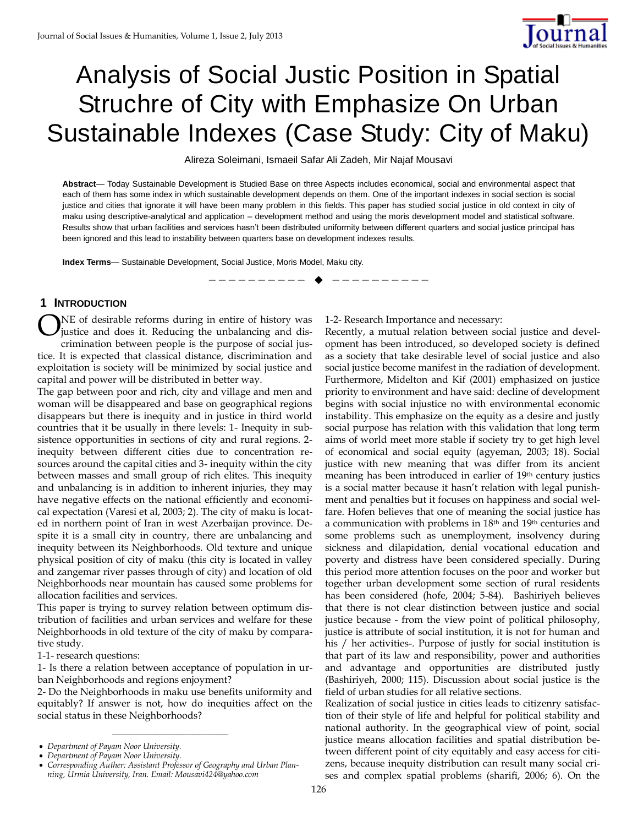

# Analysis of Social Justic Position in Spatial Struchre of City with Emphasize On Urban Sustainable Indexes (Case Study: City of Maku)

Alireza Soleimani, Ismaeil Safar Ali Zadeh, Mir Najaf Mousavi

**Abstract**— Today Sustainable Development is Studied Base on three Aspects includes economical, social and environmental aspect that each of them has some index in which sustainable development depends on them. One of the important indexes in social section is social justice and cities that ignorate it will have been many problem in this fields. This paper has studied social justice in old context in city of maku using descriptive-analytical and application – development method and using the moris development model and statistical software. Results show that urban facilities and services hasn't been distributed uniformity between different quarters and social justice principal has been ignored and this lead to instability between quarters base on development indexes results.

—————————— ——————————

**Index Terms**— Sustainable Development, Social Justice, Moris Model, Maku city.

## **1 INTRODUCTION**

NE of desirable reforms during in entire of history was justice and does it. Reducing the unbalancing and discrimination between people is the purpose of social justice. It is expected that classical distance, discrimination and exploitation is society will be minimized by social justice and capital and power will be distributed in better way. O

The gap between poor and rich, city and village and men and woman will be disappeared and base on geographical regions disappears but there is inequity and in justice in third world countries that it be usually in there levels: 1- Inequity in subsistence opportunities in sections of city and rural regions. 2 inequity between different cities due to concentration resources around the capital cities and 3- inequity within the city between masses and small group of rich elites. This inequity and unbalancing is in addition to inherent injuries, they may have negative effects on the national efficiently and economical expectation (Varesi et al, 2003; 2). The city of maku is located in northern point of Iran in west Azerbaijan province. Despite it is a small city in country, there are unbalancing and inequity between its Neighborhoods. Old texture and unique physical position of city of maku (this city is located in valley and zangemar river passes through of city) and location of old Neighborhoods near mountain has caused some problems for allocation facilities and services.

This paper is trying to survey relation between optimum distribution of facilities and urban services and welfare for these Neighborhoods in old texture of the city of maku by comparative study.

1-1- research questions:

1- Is there a relation between acceptance of population in urban Neighborhoods and regions enjoyment?

2- Do the Neighborhoods in maku use benefits uniformity and equitably? If answer is not, how do inequities affect on the social status in these Neighborhoods?

————————————————

1-2- Research Importance and necessary:

Recently, a mutual relation between social justice and development has been introduced, so developed society is defined as a society that take desirable level of social justice and also social justice become manifest in the radiation of development. Furthermore, Midelton and Kif (2001) emphasized on justice priority to environment and have said: decline of development begins with social injustice no with environmental economic instability. This emphasize on the equity as a desire and justly social purpose has relation with this validation that long term aims of world meet more stable if society try to get high level of economical and social equity (agyeman, 2003; 18). Social justice with new meaning that was differ from its ancient meaning has been introduced in earlier of 19<sup>th</sup> century justics is a social matter because it hasn't relation with legal punishment and penalties but it focuses on happiness and social welfare. Hofen believes that one of meaning the social justice has a communication with problems in 18<sup>th</sup> and 19<sup>th</sup> centuries and some problems such as unemployment, insolvency during sickness and dilapidation, denial vocational education and poverty and distress have been considered specially. During this period more attention focuses on the poor and worker but together urban development some section of rural residents has been considered (hofe, 2004; 5-84). Bashiriyeh believes that there is not clear distinction between justice and social justice because - from the view point of political philosophy, justice is attribute of social institution, it is not for human and his / her activities-. Purpose of justly for social institution is that part of its law and responsibility, power and authorities and advantage and opportunities are distributed justly (Bashiriyeh, 2000; 115). Discussion about social justice is the field of urban studies for all relative sections.

Realization of social justice in cities leads to citizenry satisfaction of their style of life and helpful for political stability and national authority. In the geographical view of point, social justice means allocation facilities and spatial distribution between different point of city equitably and easy access for citizens, because inequity distribution can result many social crises and complex spatial problems (sharifi, 2006; 6). On the

*Department of Payam Noor University.*

*Department of Payam Noor University.*

*Corresponding Auther: Assistant Professor of Geography and Urban Planning, Urmia University, Iran. Email: Mousavi424@yahoo.com*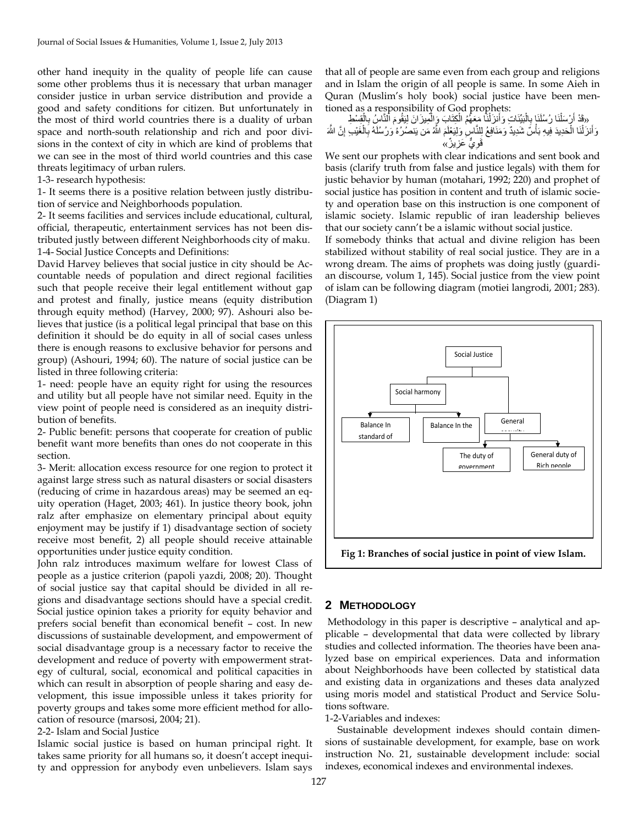other hand inequity in the quality of people life can cause some other problems thus it is necessary that urban manager consider justice in urban service distribution and provide a good and safety conditions for citizen. But unfortunately in the most of third world countries there is a duality of urban space and north-south relationship and rich and poor divisions in the context of city in which are kind of problems that we can see in the most of third world countries and this case threats legitimacy of urban rulers.

1-3- research hypothesis:

1- It seems there is a positive relation between justly distribution of service and Neighborhoods population.

2- It seems facilities and services include educational, cultural, official, therapeutic, entertainment services has not been distributed justly between different Neighborhoods city of maku. 1-4- Social Justice Concepts and Definitions:

David Harvey believes that social justice in city should be Accountable needs of population and direct regional facilities such that people receive their legal entitlement without gap and protest and finally, justice means (equity distribution through equity method) (Harvey, 2000; 97). Ashouri also believes that justice (is a political legal principal that base on this definition it should be do equity in all of social cases unless there is enough reasons to exclusive behavior for persons and group) (Ashouri, 1994; 60). The nature of social justice can be listed in three following criteria:

1- need: people have an equity right for using the resources and utility but all people have not similar need. Equity in the view point of people need is considered as an inequity distribution of benefits.

2- Public benefit: persons that cooperate for creation of public benefit want more benefits than ones do not cooperate in this section.

3- Merit: allocation excess resource for one region to protect it against large stress such as natural disasters or social disasters (reducing of crime in hazardous areas) may be seemed an equity operation (Haget, 2003; 461). In justice theory book, john ralz after emphasize on elementary principal about equity enjoyment may be justify if 1) disadvantage section of society receive most benefit, 2) all people should receive attainable opportunities under justice equity condition.

John ralz introduces maximum welfare for lowest Class of people as a justice criterion (papoli yazdi, 2008; 20). Thought of social justice say that capital should be divided in all regions and disadvantage sections should have a special credit. Social justice opinion takes a priority for equity behavior and prefers social benefit than economical benefit – cost. In new discussions of sustainable development, and empowerment of social disadvantage group is a necessary factor to receive the development and reduce of poverty with empowerment strategy of cultural, social, economical and political capacities in which can result in absorption of people sharing and easy development, this issue impossible unless it takes priority for poverty groups and takes some more efficient method for allocation of resource (marsosi, 2004; 21).

#### 2-2- Islam and Social Justice

Islamic social justice is based on human principal right. It takes same priority for all humans so, it doesn't accept inequity and oppression for anybody even unbelievers. Islam says that all of people are same even from each group and religions and in Islam the origin of all people is same. In some Aieh in Quran (Muslim's holy book) social justice have been mentioned as a responsibility of God prophets:

«قَدْ أَرْسَلْنَا رُسُلَنَا بِالْبَيِّنَاتِ وَأَنزَلْنَا مَعَهُمُ الْكِتَابَ وَالْمِيزَانَ لِيَقُومَ ٱلنَّاسُِ بِالْقِسْطِ ْ ِ ْ ْ َ ْ ِ َ وَأَنزَلْنَا الْحَدِيدَ فِيهِ بَأْسٌ شَدِيدٌ وَمَنَافِعُ لِلنَّاسِ وَلِيَعْلَمَ اللَّهُ مَن يَنصُرُهُ وَرُسُلَهُ بِالْغَيْبِ إِنَّ اللَّهَ ْ ْ ْ َ َ ן<br>ג ْ ِ قَ*وِيٌّ* عَزِيزٌ» ِ

We sent our prophets with clear indications and sent book and basis (clarify truth from false and justice legals) with them for justic behavior by human (motahari, 1992; 220) and prophet of social justice has position in content and truth of islamic society and operation base on this instruction is one component of islamic society. Islamic republic of iran leadership believes that our society cann't be a islamic without social justice.

If somebody thinks that actual and divine religion has been stabilized without stability of real social justice. They are in a wrong dream. The aims of prophets was doing justly (guardian discourse, volum 1, 145). Social justice from the view point of islam can be following diagram (motiei langrodi, 2001; 283). (Diagram 1)



#### **2 METHODOLOGY**

Methodology in this paper is descriptive – analytical and applicable – developmental that data were collected by library studies and collected information. The theories have been analyzed base on empirical experiences. Data and information about Neighborhoods have been collected by statistical data and existing data in organizations and theses data analyzed using moris model and statistical Product and Service Solutions software.

1-2-Variables and indexes:

Sustainable development indexes should contain dimensions of sustainable development, for example, base on work instruction No. 21, sustainable development include: social indexes, economical indexes and environmental indexes.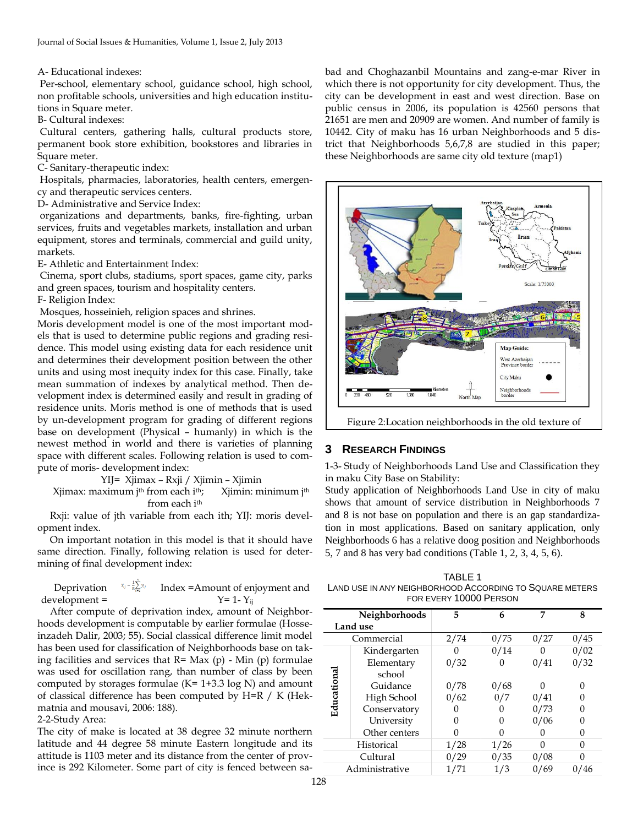A- Educational indexes:

Per-school, elementary school, guidance school, high school, non profitable schools, universities and high education institutions in Square meter.

B- Cultural indexes:

Cultural centers, gathering halls, cultural products store, permanent book store exhibition, bookstores and libraries in Square meter.

C- Sanitary-therapeutic index:

Hospitals, pharmacies, laboratories, health centers, emergency and therapeutic services centers.

D- Administrative and Service Index:

organizations and departments, banks, fire-fighting, urban services, fruits and vegetables markets, installation and urban equipment, stores and terminals, commercial and guild unity, markets.

E- Athletic and Entertainment Index:

Cinema, sport clubs, stadiums, sport spaces, game city, parks and green spaces, tourism and hospitality centers.

F- Religion Index:

Mosques, hosseinieh, religion spaces and shrines.

Moris development model is one of the most important models that is used to determine public regions and grading residence. This model using existing data for each residence unit and determines their development position between the other units and using most inequity index for this case. Finally, take mean summation of indexes by analytical method. Then development index is determined easily and result in grading of residence units. Moris method is one of methods that is used by un-development program for grading of different regions base on development (Physical – humanly) in which is the newest method in world and there is varieties of planning space with different scales. Following relation is used to compute of moris- development index:

YIJ= Xjimax – Rxji / Xjimin – Xjimin

Xjimax: maximum j<sup>th</sup> from each i<sup>th</sup>; Xjimin: minimum j<sup>th</sup> from each i<sup>th</sup>

Rxji: value of jth variable from each ith; YIJ: moris development index.

On important notation in this model is that it should have same direction. Finally, following relation is used for determining of final development index:

Deprivation

\n
$$
^{x_{ij} - \frac{1}{n} \sum_{i=1}^{N} y_{ij}} \quad \text{Index} = \text{Amount of environment and}
$$
\n
$$
Y = 1 - Y_{ij}
$$

After compute of deprivation index, amount of Neighborhoods development is computable by earlier formulae (Hosseinzadeh Dalir, 2003; 55). Social classical difference limit model has been used for classification of Neighborhoods base on taking facilities and services that  $R=$  Max (p) - Min (p) formulae was used for oscillation rang, than number of class by been computed by storages formulae  $(K= 1+3.3 \log N)$  and amount of classical difference has been computed by H=R / K (Hekmatnia and mousavi, 2006: 188).

#### 2-2-Study Area:

The city of make is located at 38 degree 32 minute northern latitude and 44 degree 58 minute Eastern longitude and its attitude is 1103 meter and its distance from the center of province is 292 Kilometer. Some part of city is fenced between sabad and Choghazanbil Mountains and zang-e-mar River in which there is not opportunity for city development. Thus, the city can be development in east and west direction. Base on public census in 2006, its population is 42560 persons that 21651 are men and 20909 are women. And number of family is 10442. City of maku has 16 urban Neighborhoods and 5 district that Neighborhoods 5,6,7,8 are studied in this paper; these Neighborhoods are same city old texture (map1)



## **3 RESEARCH FINDINGS**

1-3- Study of Neighborhoods Land Use and Classification they in maku City Base on Stability:

Study application of Neighborhoods Land Use in city of maku shows that amount of service distribution in Neighborhoods 7 and 8 is not base on population and there is an gap standardization in most applications. Based on sanitary application, only Neighborhoods 6 has a relative doog position and Neighborhoods 5, 7 and 8 has very bad conditions (Table 1, 2, 3, 4, 5, 6).

TABLE 1 LAND USE IN ANY NEIGHBORHOOD ACCORDING TO SQUARE METERS FOR EVERY 10000 PERSON

| Neighborhoods  |               | 5    | 6    | 7    | 8    |  |  |
|----------------|---------------|------|------|------|------|--|--|
| Land use       |               |      |      |      |      |  |  |
| Commercial     |               | 2/74 | 0/75 | 0/27 | 0/45 |  |  |
|                | Kindergarten  |      | 0/14 | O    | 0/02 |  |  |
| Educationa     | Elementary    | 0/32 | 0    | 0/41 | 0/32 |  |  |
|                | school        |      |      |      |      |  |  |
|                | Guidance      | 0/78 | 0/68 | O    |      |  |  |
|                | High School   | 0/62 | 0/7  | 0/41 |      |  |  |
|                | Conservatory  |      | 0    | 0/73 |      |  |  |
|                | University    |      |      | 0/06 |      |  |  |
|                | Other centers |      | O    | 0    |      |  |  |
| Historical     |               | 1/28 | 1/26 | O    |      |  |  |
|                | Cultural      | 0/29 | 0/35 | 0/08 |      |  |  |
| Administrative |               | 1/71 | 1/3  | 0/69 | 0/46 |  |  |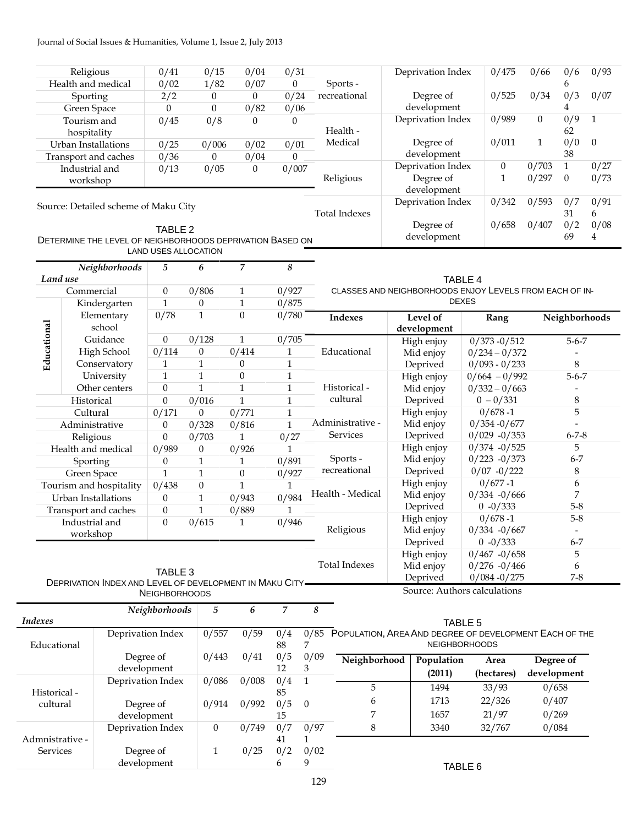## Journal of Social Issues & Humanities, Volume 1, Issue 2, July 2013

|                                    | Religious               |                                                                                                   | 0/41                                                                                                    | 0/15                         | 0/04             | 0/31             |                      |                                                             |                   | Deprivation Index                             | 0/475                              | 0/66           | 0/6                    | 0/93                   |  |
|------------------------------------|-------------------------|---------------------------------------------------------------------------------------------------|---------------------------------------------------------------------------------------------------------|------------------------------|------------------|------------------|----------------------|-------------------------------------------------------------|-------------------|-----------------------------------------------|------------------------------------|----------------|------------------------|------------------------|--|
|                                    | Health and medical      |                                                                                                   | 0/02                                                                                                    | 1/82                         | 0/07             | $\overline{0}$   |                      | Sports -                                                    |                   |                                               |                                    |                | 6                      |                        |  |
|                                    | Sporting                |                                                                                                   | 2/2                                                                                                     | $\overline{0}$               | $\mathbf{0}$     | 0/24             |                      | recreational                                                | Degree of         |                                               | 0/525                              | 0/34           | 0/3                    | 0/07                   |  |
|                                    | Green Space             |                                                                                                   | $\theta$                                                                                                | $\mathbf{0}$                 | 0/82             | 0/06             |                      |                                                             |                   | development                                   |                                    |                | 4                      |                        |  |
| Tourism and                        |                         | 0/45                                                                                              | 0/8                                                                                                     | $\theta$                     | $\boldsymbol{0}$ |                  | Health -<br>Medical  |                                                             | Deprivation Index | 0/989                                         | $\mathbf{0}$                       | 0/9<br>62      | $\mathbf{1}$           |                        |  |
| hospitality<br>Urban Installations |                         | 0/25                                                                                              | 0/006                                                                                                   | 0/02                         | 0/01             |                  |                      |                                                             | Degree of         |                                               | $\mathbf{1}$                       | 0/0            | $\boldsymbol{0}$       |                        |  |
|                                    | Transport and caches    |                                                                                                   | 0/36                                                                                                    | $\theta$                     | 0/04             | $\overline{0}$   |                      |                                                             |                   | development                                   |                                    |                | 38                     |                        |  |
|                                    | Industrial and          |                                                                                                   | 0/13                                                                                                    | 0/05                         | $\theta$         | 0/007            |                      |                                                             |                   | Deprivation Index                             | $\boldsymbol{0}$                   | 0/703          | $\mathbf{1}$           | 0/27                   |  |
|                                    | workshop                |                                                                                                   |                                                                                                         |                              |                  |                  |                      | Religious                                                   | Degree of         |                                               | $\mathbf{1}$                       | 0/297          | $\mathbf{0}$           | 0/73                   |  |
|                                    |                         |                                                                                                   |                                                                                                         |                              |                  |                  |                      |                                                             |                   | development                                   |                                    |                |                        |                        |  |
|                                    |                         | Source: Detailed scheme of Maku City<br>DETERMINE THE LEVEL OF NEIGHBORHOODS DEPRIVATION BASED ON | TABLE <sub>2</sub>                                                                                      | LAND USES ALLOCATION         |                  |                  |                      | <b>Total Indexes</b>                                        |                   | Deprivation Index<br>Degree of<br>development | 0/342<br>0/658                     | 0/593<br>0/407 | 0/7<br>31<br>0/2<br>69 | 0/91<br>6<br>0/08<br>4 |  |
|                                    |                         | Neighborhoods                                                                                     | $\mathfrak{h}% _{T}=\mathfrak{h}_{T}\!\left( a,b\right) ,\ \mathfrak{h}_{T}=C_{T}\!\left( a,b\right) ,$ | 6                            | $\overline{7}$   | $\boldsymbol{8}$ |                      |                                                             |                   |                                               |                                    |                |                        |                        |  |
| Land use                           |                         |                                                                                                   |                                                                                                         |                              |                  |                  |                      |                                                             |                   | TABLE 4                                       |                                    |                |                        |                        |  |
|                                    | Commercial              |                                                                                                   | $\boldsymbol{0}$                                                                                        | 0/806                        | 1                | 0/927            |                      | CLASSES AND NEIGHBORHOODS ENJOY LEVELS FROM EACH OF IN-     |                   |                                               |                                    |                |                        |                        |  |
|                                    |                         | Kindergarten                                                                                      | $\mathbf{1}$                                                                                            | $\boldsymbol{0}$             | $\mathbf{1}$     | 0/875            |                      |                                                             |                   | <b>DEXES</b>                                  |                                    |                |                        |                        |  |
|                                    |                         | Elementary                                                                                        | 0/78                                                                                                    | $\mathbf{1}$                 | $\boldsymbol{0}$ | 0/780            |                      | Indexes                                                     |                   | Level of                                      | Rang                               |                | Neighborhoods          |                        |  |
| Educational                        |                         | school                                                                                            |                                                                                                         |                              |                  |                  |                      |                                                             |                   | development                                   |                                    |                |                        |                        |  |
|                                    |                         | Guidance                                                                                          | $\mathbf{0}$                                                                                            | 0/128                        | 1                | 0/705            |                      |                                                             |                   | High enjoy                                    | $0/373 - 0/512$                    |                |                        | $5 - 6 - 7$            |  |
|                                    |                         | High School                                                                                       | 0/114                                                                                                   | $\boldsymbol{0}$             | 0/414            | $\mathbf{1}$     |                      | Educational                                                 |                   | Mid enjoy                                     | $0/234 - 0/372$                    |                |                        |                        |  |
|                                    |                         | Conservatory                                                                                      | $\mathbf{1}$                                                                                            | $\mathbf{1}$                 | 0                | $\mathbf{1}$     |                      |                                                             |                   | Deprived                                      | $0/093 - 0/233$<br>$0/664 - 0/992$ |                | $\,8\,$                |                        |  |
|                                    |                         | University                                                                                        | $\mathbf{1}$                                                                                            | $\mathbf{1}$                 | $\boldsymbol{0}$ | $\mathbf{1}$     |                      |                                                             |                   | High enjoy                                    |                                    |                | $5 - 6 - 7$            |                        |  |
|                                    |                         | Other centers                                                                                     | $\boldsymbol{0}$                                                                                        | $\mathbf{1}$                 | $\mathbf{1}$     | $\mathbf{1}$     |                      | Historical -                                                |                   | Mid enjoy                                     | $0/332 - 0/663$                    |                |                        |                        |  |
|                                    | Historical              |                                                                                                   | $\theta$                                                                                                | 0/016                        | $\mathbf{1}$     | $\mathbf{1}$     |                      | cultural                                                    |                   | Deprived                                      | $0 - 0/331$                        |                | 8<br>5                 |                        |  |
|                                    | Cultural                |                                                                                                   | 0/171                                                                                                   | $\overline{0}$               | 0/771            | 1                |                      | Administrative -                                            |                   | High enjoy                                    | $0/678 - 1$                        |                |                        |                        |  |
|                                    | Administrative          |                                                                                                   | $\mathbf{0}$                                                                                            | 0/328                        | 0/816            | $\mathbf{1}$     |                      | Services                                                    |                   | Mid enjoy<br>Deprived                         | $0/354 - 0/677$<br>$0/029 - 0/353$ |                | $6 - 7 - 8$            |                        |  |
|                                    | Religious               |                                                                                                   | $\mathbf{0}$                                                                                            | 0/703                        | $\mathbf{1}$     | 0/27             |                      |                                                             |                   | High enjoy                                    | $0/374 - 0/525$                    |                | 5                      |                        |  |
|                                    |                         | Health and medical                                                                                | 0/989                                                                                                   | 0                            | 0/926            | 1                |                      | Sports -                                                    |                   | Mid enjoy                                     | $0/223 - 0/373$                    |                | $6 - 7$                |                        |  |
|                                    | Sporting<br>Green Space |                                                                                                   | $\mathbf{0}$<br>$\mathbf{1}$                                                                            | $\mathbf{1}$<br>$\mathbf{1}$ | 1<br>0           | 0/891<br>0/927   |                      | recreational                                                |                   | Deprived                                      | $0/07 - 0/222$                     |                | 8                      |                        |  |
|                                    |                         | Tourism and hospitality                                                                           | 0/438                                                                                                   | $\boldsymbol{0}$             | $\mathbf{1}$     | 1                |                      |                                                             |                   | High enjoy                                    | $0/677 - 1$                        |                | 6                      |                        |  |
|                                    | Urban Installations     |                                                                                                   | $\boldsymbol{0}$                                                                                        | $\mathbf{1}$                 | 0/943            | 0/984            |                      | Health - Medical                                            |                   | Mid enjoy                                     | $0/334 - 0/666$                    |                | 7                      |                        |  |
|                                    |                         | Transport and caches                                                                              | $\boldsymbol{0}$                                                                                        | $\mathbf{1}$                 | 0/889            | 1                |                      |                                                             |                   | Deprived                                      | $0 -0/333$                         |                | $5 - 8$                |                        |  |
|                                    | Industrial and          |                                                                                                   | $\mathbf{0}$                                                                                            | 0/615                        | $\mathbf{1}$     | 0/946            |                      |                                                             |                   | High enjoy                                    | $0/678 - 1$                        |                | $5 - 8$                |                        |  |
| workshop                           |                         |                                                                                                   |                                                                                                         |                              |                  |                  | Religious            | Mid enjoy                                                   | $0/334 - 0/667$   |                                               |                                    |                |                        |                        |  |
|                                    |                         |                                                                                                   |                                                                                                         |                              |                  |                  |                      |                                                             |                   | Deprived                                      | $0 -0/333$                         |                | $6 - 7$                |                        |  |
|                                    |                         |                                                                                                   |                                                                                                         |                              |                  |                  |                      |                                                             |                   | High enjoy                                    | $0/467 - 0/658$                    |                | 5                      |                        |  |
|                                    |                         | TABLE 3                                                                                           |                                                                                                         |                              |                  |                  | <b>Total Indexes</b> |                                                             | Mid enjoy         | $0/276 - 0/466$                               |                                    | 6              |                        |                        |  |
|                                    |                         | DEPRIVATION INDEX AND LEVEL OF DEVELOPMENT IN MAKU CITY-                                          |                                                                                                         |                              |                  |                  |                      |                                                             |                   | Deprived                                      | $0/084 - 0/275$                    |                | $7 - 8$                |                        |  |
|                                    |                         |                                                                                                   | <b>NEIGHBORHOODS</b>                                                                                    |                              |                  |                  |                      |                                                             |                   |                                               | Source: Authors calculations       |                |                        |                        |  |
|                                    |                         |                                                                                                   | Neighborhoods                                                                                           | 5                            | 6                | $\overline{7}$   | 8                    |                                                             |                   |                                               |                                    |                |                        |                        |  |
| <b>Indexes</b>                     |                         |                                                                                                   |                                                                                                         |                              |                  |                  |                      |                                                             |                   | TABLE 5                                       |                                    |                |                        |                        |  |
| Educational                        |                         | Deprivation Index                                                                                 |                                                                                                         | 0/557                        | 0/59             | 0/4<br>88        | 7                    | 0/85 POPULATION, AREA AND DEGREE OF DEVELOPMENT EACH OF THE |                   | <b>NEIGHBORHOODS</b>                          |                                    |                |                        |                        |  |
|                                    |                         | Degree of                                                                                         |                                                                                                         | 0/443                        | 0/41             | 0/5              | 0/09                 | Neighborhood                                                |                   | Population                                    | Area                               |                | Degree of              |                        |  |
|                                    |                         | development<br>Deprivation Index<br>Degree of                                                     |                                                                                                         |                              |                  | 12               | 3                    |                                                             |                   | (2011)                                        | (hectares)                         | development    |                        |                        |  |
|                                    |                         |                                                                                                   |                                                                                                         | 0/086                        | 0/008            | 0/4              | $\mathbf{1}$         | 5                                                           |                   | 1494                                          | 33/93                              | 0/658          |                        |                        |  |
| Historical -                       |                         |                                                                                                   |                                                                                                         |                              |                  | 85               |                      |                                                             |                   | 1713                                          |                                    |                |                        |                        |  |
| cultural                           |                         |                                                                                                   |                                                                                                         | 0/914                        | 0/992            | 0/5              | $\boldsymbol{0}$     | 6                                                           |                   |                                               | 22/326                             | 0/407          |                        |                        |  |
|                                    |                         | development                                                                                       |                                                                                                         |                              |                  | 15               |                      | 7                                                           |                   | 1657                                          | 21/97                              | 0/269          |                        |                        |  |
|                                    |                         | Deprivation Index                                                                                 |                                                                                                         | $\boldsymbol{0}$             | 0/749            | 0/7              | 0/97                 | $\,8\,$                                                     |                   | 3340                                          | 32/767                             | 0/084          |                        |                        |  |
| Services                           | Admnistrative -         | Degree of                                                                                         |                                                                                                         |                              |                  | 41<br>0/2        | $\mathbf{1}$<br>0/02 |                                                             |                   |                                               |                                    |                |                        |                        |  |
|                                    |                         | development                                                                                       |                                                                                                         | $\mathbf{1}$                 | 0/25             | 6                | 9                    |                                                             |                   |                                               |                                    |                |                        |                        |  |
|                                    |                         |                                                                                                   |                                                                                                         |                              |                  |                  |                      |                                                             |                   | TABLE 6                                       |                                    |                |                        |                        |  |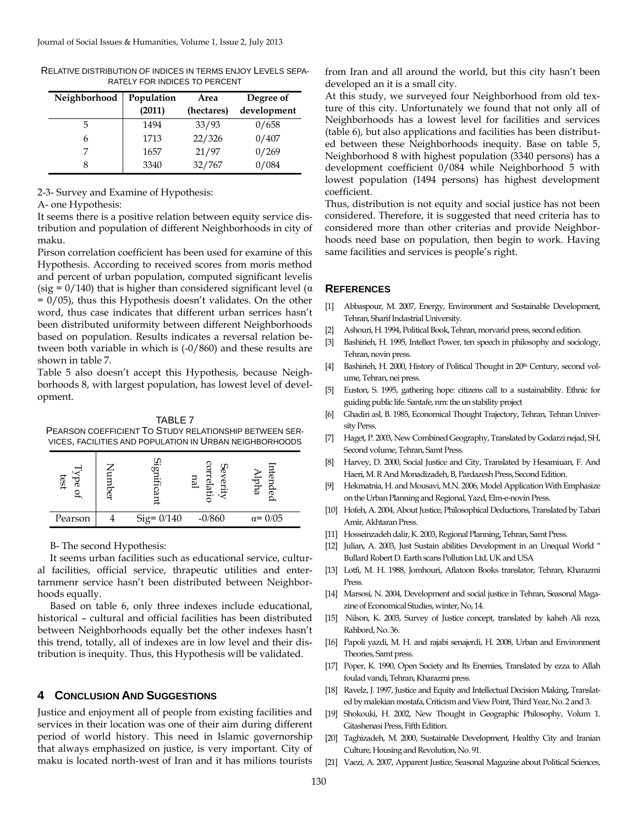| Neighborhood | Population<br>(2011) | Area<br>(hectares) | Degree of<br>development |  |  |
|--------------|----------------------|--------------------|--------------------------|--|--|
| 5            | 1494                 | 33/93              | 0/658                    |  |  |
| h            | 1713                 | 22/326             | 0/407                    |  |  |
|              | 1657                 | 21/97              | 0/269                    |  |  |
|              | 3340                 | 32/767             | 0/084                    |  |  |

RELATIVE DISTRIBUTION OF INDICES IN TERMS ENJOY LEVELS SEPA-RATELY FOR INDICES TO PERCENT

2-3- Survey and Examine of Hypothesis:

A- one Hypothesis:

It seems there is a positive relation between equity service distribution and population of different Neighborhoods in city of maku.

Pirson correlation coefficient has been used for examine of this Hypothesis. According to received scores from moris method and percent of urban population, computed significant levelis (sig =  $0/140$ ) that is higher than considered significant level ( $\alpha$ )  $= 0/05$ ), thus this Hypothesis doesn't validates. On the other word, thus case indicates that different urban serrices hasn't been distributed uniformity between different Neighborhoods based on population. Results indicates a reversal relation between both variable in which is (-0/860) and these results are shown in table 7.

Table 5 also doesn't accept this Hypothesis, because Neighborhoods 8, with largest population, has lowest level of development.

TABLE 7 PEARSON COEFFICIENT TO STUDY RELATIONSHIP BETWEEN SER-VICES, FACILITIES AND POPULATION IN URBAN NEIGHBORHOODS

| test<br>Œ<br>௬ | ۰r            |          |                 |
|----------------|---------------|----------|-----------------|
| Pearson        | $Sig = 0/140$ | $-0/860$ | $\alpha = 0/05$ |

B- The second Hypothesis:

It seems urban facilities such as educational service, cultural facilities, official service, thrapeutic utilities and entertarnmenr service hasn't been distributed between Neighborhoods equally.

Based on table 6, only three indexes include educational, historical – cultural and official facilities has been distributed between Neighborhoods equally bet the other indexes hasn't this trend, totally, all of indexes are in low level and their distribution is inequity. Thus, this Hypothesis will be validated.

## **4 CONCLUSION AND SUGGESTIONS**

Justice and enjoyment all of people from existing facilities and services in their location was one of their aim during different period of world history. This need in Islamic governorship that always emphasized on justice, is very important. City of maku is located north-west of Iran and it has milions tourists

from Iran and all around the world, but this city hasn't been developed an it is a small city.

At this study, we surveyed four Neighborhood from old texture of this city. Unfortunately we found that not only all of Neighborhoods has a lowest level for facilities and services (table 6), but also applications and facilities has been distributed between these Neighborhoods inequity. Base on table 5, Neighborhood 8 with highest population (3340 persons) has a development coefficient 0/084 while Neighborhood 5 with lowest population (1494 persons) has highest development coefficient.

Thus, distribution is not equity and social justice has not been considered. Therefore, it is suggested that need criteria has to considered more than other criterias and provide Neighborhoods need base on population, then begin to work. Having same facilities and services is people's right.

### **REFERENCES**

- [1] Abbaspour, M. 2007, Energy, Environment and Sustainable Development, Tehran, Sharif Indastrial University.
- [2] Ashouri, H. 1994, Political Book, Tehran, morvarid press, second edition.
- [3] Bashirieh, H. 1995, Intellect Power, ten speech in philosophy and sociology, Tehran, novin press.
- [4] Bashirieh, H. 2000, History of Political Thought in 20<sup>th</sup> Century, second volume, Tehran, nei press.
- [5] Euston, S. 1995, gathering hope: citizens call to a sustainability. Ethnic for guiding public life. Santafe, nm: the un stability project
- [6] Ghadiri asl, B. 1985, Economical Thought Trajectory, Tehran, Tehran University Perss.
- [7] Haget, P. 2003, New Combined Geography, Translated by Godarzi nejad, SH, Second volume, Tehran, Samt Press.
- [8] Harvey, D. 2000, Social Justice and City, Translated by Hesamiuan, F. And Haeri, M. R And Monadizadeh, B, Pardazesh Press, Second Edition.
- [9] Hekmatnia, H. and Mousavi, M.N. 2006, Model Application With Emphasize on the Urban Planning and Regional, Yazd, Elm-e-novin Press.
- [10] Hofeh, A. 2004, About Justice, Philosophical Deductions, Translated by Tabari Amir, Akhtaran Press.
- [11] Hosseinzadeh dalir, K. 2003, Regional Planning, Tehran, Samt Press.
- [12] Julian, A. 2003, Just Sustain abilities Development in an Unequal World " Bullard Robert D. Earth scans Pollution Ltd, UK and USA
- [13] Lotfi, M. H. 1988, Jomhouri, Aflatoon Books translator, Tehran, Kharazmi Press.
- [14] Marsosi, N. 2004, Development and social justice in Tehran, Seasonal Magazine of Economical Studies, winter, No, 14.
- [15] Nilson, K. 2003, Survey of Justice concept, translated by kaheh Ali reza, Rahbord, No. 36.
- [16] Papoli yazdi, M. H. and rajabi senajerdi, H. 2008, Urban and Environment Theories, Samt press.
- [17] Poper, K. 1990, Open Society and Its Enemies, Translated by ezza to Allah foulad vandi, Tehran, Kharazmi press.
- [18] Ravelz, J. 1997, Justice and Equity and Intellectual Decision Making, Translated by malekian mostafa, Criticism and View Point, Third Year, No. 2 and 3.
- [19] Shokouki, H. 2002, New Thought in Geographic Philosophy, Volum 1. Gitashenasi Press, Fifth Edition.
- [20] Taghizadeh, M. 2000, Sustainable Development, Healthy City and Iranian Culture, Housing and Revolution, No. 91.
- [21] Vaezi, A. 2007, Apparent Justice, Seasonal Magazine about Political Sciences,